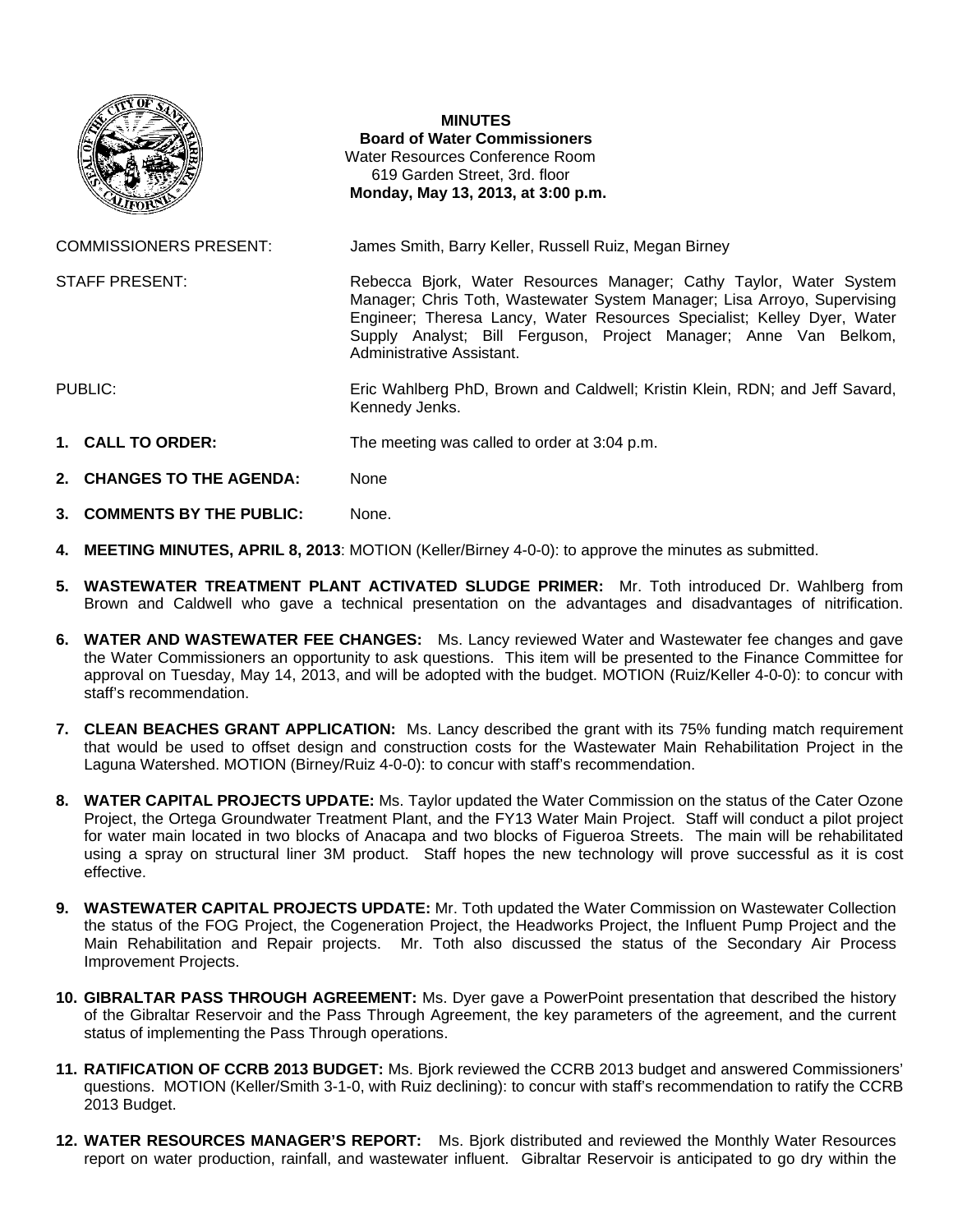

## **MINUTES**

**Board of Water Commissioners**  Water Resources Conference Room 619 Garden Street, 3rd. floor  **Monday, May 13, 2013, at 3:00 p.m.** 

COMMISSIONERS PRESENT: James Smith, Barry Keller, Russell Ruiz, Megan Birney

STAFF PRESENT: Rebecca Bjork, Water Resources Manager; Cathy Taylor, Water System

Manager; Chris Toth, Wastewater System Manager; Lisa Arroyo, Supervising Engineer; Theresa Lancy, Water Resources Specialist; Kelley Dyer, Water Supply Analyst; Bill Ferguson, Project Manager; Anne Van Belkom, Administrative Assistant.

PUBLIC: Eric Wahlberg PhD, Brown and Caldwell; Kristin Klein, RDN; and Jeff Savard, Kennedy Jenks.

- **1. CALL TO ORDER:** The meeting was called to order at 3:04 p.m.
- 2. **CHANGES TO THE AGENDA:** None
- **3. COMMENTS BY THE PUBLIC:** None.
- **4. MEETING MINUTES, APRIL 8, 2013**: MOTION (Keller/Birney 4-0-0): to approve the minutes as submitted.
- **5. WASTEWATER TREATMENT PLANT ACTIVATED SLUDGE PRIMER:** Mr. Toth introduced Dr. Wahlberg from Brown and Caldwell who gave a technical presentation on the advantages and disadvantages of nitrification.
- **6. WATER AND WASTEWATER FEE CHANGES:** Ms. Lancy reviewed Water and Wastewater fee changes and gave the Water Commissioners an opportunity to ask questions. This item will be presented to the Finance Committee for approval on Tuesday, May 14, 2013, and will be adopted with the budget. MOTION (Ruiz/Keller 4-0-0): to concur with staff's recommendation.
- **7. CLEAN BEACHES GRANT APPLICATION:** Ms. Lancy described the grant with its 75% funding match requirement that would be used to offset design and construction costs for the Wastewater Main Rehabilitation Project in the Laguna Watershed. MOTION (Birney/Ruiz 4-0-0): to concur with staff's recommendation.
- **8. WATER CAPITAL PROJECTS UPDATE:** Ms. Taylor updated the Water Commission on the status of the Cater Ozone Project, the Ortega Groundwater Treatment Plant, and the FY13 Water Main Project. Staff will conduct a pilot project for water main located in two blocks of Anacapa and two blocks of Figueroa Streets. The main will be rehabilitated using a spray on structural liner 3M product. Staff hopes the new technology will prove successful as it is cost effective.
- **9. WASTEWATER CAPITAL PROJECTS UPDATE:** Mr. Toth updated the Water Commission on Wastewater Collection the status of the FOG Project, the Cogeneration Project, the Headworks Project, the Influent Pump Project and the Main Rehabilitation and Repair projects. Mr. Toth also discussed the status of the Secondary Air Process Improvement Projects.
- **10. GIBRALTAR PASS THROUGH AGREEMENT:** Ms. Dyer gave a PowerPoint presentation that described the history of the Gibraltar Reservoir and the Pass Through Agreement, the key parameters of the agreement, and the current status of implementing the Pass Through operations.
- **11. RATIFICATION OF CCRB 2013 BUDGET:** Ms. Bjork reviewed the CCRB 2013 budget and answered Commissioners' questions. MOTION (Keller/Smith 3-1-0, with Ruiz declining): to concur with staff's recommendation to ratify the CCRB 2013 Budget.
- **12. WATER RESOURCES MANAGER'S REPORT:** Ms. Bjork distributed and reviewed the Monthly Water Resources report on water production, rainfall, and wastewater influent. Gibraltar Reservoir is anticipated to go dry within the